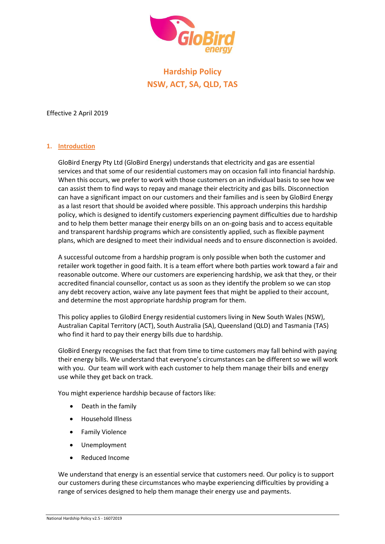

# **Hardship Policy NSW, ACT, SA, QLD, TAS**

Effective 2 April 2019

# **1. Introduction**

GloBird Energy Pty Ltd (GloBird Energy) understands that electricity and gas are essential services and that some of our residential customers may on occasion fall into financial hardship. When this occurs, we prefer to work with those customers on an individual basis to see how we can assist them to find ways to repay and manage their electricity and gas bills. Disconnection can have a significant impact on our customers and their families and is seen by GloBird Energy as a last resort that should be avoided where possible. This approach underpins this hardship policy, which is designed to identify customers experiencing payment difficulties due to hardship and to help them better manage their energy bills on an on-going basis and to access equitable and transparent hardship programs which are consistently applied, such as flexible payment plans, which are designed to meet their individual needs and to ensure disconnection is avoided.

A successful outcome from a hardship program is only possible when both the customer and retailer work together in good faith. It is a team effort where both parties work toward a fair and reasonable outcome. Where our customers are experiencing hardship, we ask that they, or their accredited financial counsellor, contact us as soon as they identify the problem so we can stop any debt recovery action, waive any late payment fees that might be applied to their account, and determine the most appropriate hardship program for them.

This policy applies to GloBird Energy residential customers living in New South Wales (NSW), Australian Capital Territory (ACT), South Australia (SA), Queensland (QLD) and Tasmania (TAS) who find it hard to pay their energy bills due to hardship.

GloBird Energy recognises the fact that from time to time customers may fall behind with paying their energy bills. We understand that everyone's circumstances can be different so we will work with you. Our team will work with each customer to help them manage their bills and energy use while they get back on track.

You might experience hardship because of factors like:

- Death in the family
- Household Illness
- Family Violence
- Unemployment
- Reduced Income

We understand that energy is an essential service that customers need. Our policy is to support our customers during these circumstances who maybe experiencing difficulties by providing a range of services designed to help them manage their energy use and payments.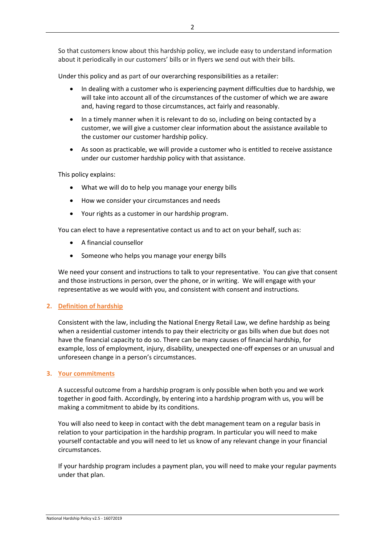So that customers know about this hardship policy, we include easy to understand information about it periodically in our customers' bills or in flyers we send out with their bills.

Under this policy and as part of our overarching responsibilities as a retailer:

- In dealing with a customer who is experiencing payment difficulties due to hardship, we will take into account all of the circumstances of the customer of which we are aware and, having regard to those circumstances, act fairly and reasonably.
- In a timely manner when it is relevant to do so, including on being contacted by a customer, we will give a customer clear information about the assistance available to the customer our customer hardship policy.
- As soon as practicable, we will provide a customer who is entitled to receive assistance under our customer hardship policy with that assistance.

This policy explains:

- What we will do to help you manage your energy bills
- How we consider your circumstances and needs
- Your rights as a customer in our hardship program.

You can elect to have a representative contact us and to act on your behalf, such as:

- A financial counsellor
- Someone who helps you manage your energy bills

We need your consent and instructions to talk to your representative. You can give that consent and those instructions in person, over the phone, or in writing. We will engage with your representative as we would with you, and consistent with consent and instructions*.*

#### **2. Definition of hardship**

Consistent with the law, including the National Energy Retail Law, we define hardship as being when a residential customer intends to pay their electricity or gas bills when due but does not have the financial capacity to do so. There can be many causes of financial hardship, for example, loss of employment, injury, disability, unexpected one-off expenses or an unusual and unforeseen change in a person's circumstances.

#### **3. Your commitments**

A successful outcome from a hardship program is only possible when both you and we work together in good faith. Accordingly, by entering into a hardship program with us, you will be making a commitment to abide by its conditions.

You will also need to keep in contact with the debt management team on a regular basis in relation to your participation in the hardship program. In particular you will need to make yourself contactable and you will need to let us know of any relevant change in your financial circumstances.

If your hardship program includes a payment plan, you will need to make your regular payments under that plan.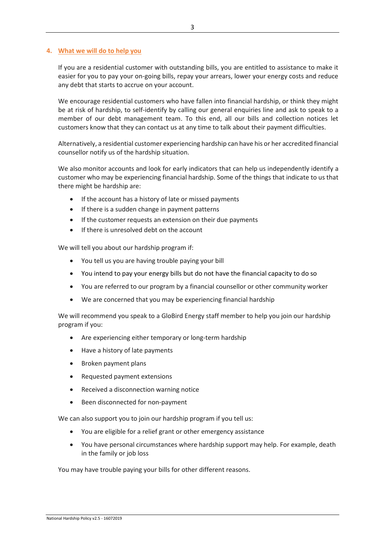#### **4. What we will do to help you**

If you are a residential customer with outstanding bills, you are entitled to assistance to make it easier for you to pay your on-going bills, repay your arrears, lower your energy costs and reduce any debt that starts to accrue on your account.

We encourage residential customers who have fallen into financial hardship, or think they might be at risk of hardship, to self-identify by calling our general enquiries line and ask to speak to a member of our debt management team. To this end, all our bills and collection notices let customers know that they can contact us at any time to talk about their payment difficulties.

Alternatively, a residential customer experiencing hardship can have his or her accredited financial counsellor notify us of the hardship situation.

We also monitor accounts and look for early indicators that can help us independently identify a customer who may be experiencing financial hardship. Some of the things that indicate to us that there might be hardship are:

- If the account has a history of late or missed payments
- If there is a sudden change in payment patterns
- If the customer requests an extension on their due payments
- If there is unresolved debt on the account

We will tell you about our hardship program if:

- You tell us you are having trouble paying your bill
- You intend to pay your energy bills but do not have the financial capacity to do so
- You are referred to our program by a financial counsellor or other community worker
- We are concerned that you may be experiencing financial hardship

We will recommend you speak to a GloBird Energy staff member to help you join our hardship program if you:

- Are experiencing either temporary or long-term hardship
- Have a history of late payments
- Broken payment plans
- Requested payment extensions
- Received a disconnection warning notice
- Been disconnected for non-payment

We can also support you to join our hardship program if you tell us:

- You are eligible for a relief grant or other emergency assistance
- You have personal circumstances where hardship support may help. For example, death in the family or job loss

You may have trouble paying your bills for other different reasons.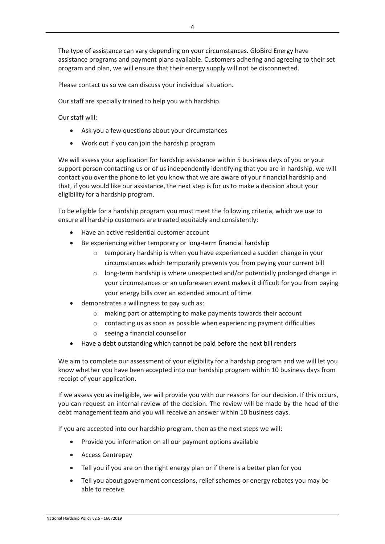The type of assistance can vary depending on your circumstances. GloBird Energy have assistance programs and payment plans available. Customers adhering and agreeing to their set program and plan, we will ensure that their energy supply will not be disconnected.

Please contact us so we can discuss your individual situation.

Our staff are specially trained to help you with hardship.

Our staff will:

- Ask you a few questions about your circumstances
- Work out if you can join the hardship program

We will assess your application for hardship assistance within 5 business days of you or your support person contacting us or of us independently identifying that you are in hardship, we will contact you over the phone to let you know that we are aware of your financial hardship and that, if you would like our assistance, the next step is for us to make a decision about your eligibility for a hardship program.

To be eligible for a hardship program you must meet the following criteria, which we use to ensure all hardship customers are treated equitably and consistently:

- Have an active residential customer account
- Be experiencing either temporary or long-term financial hardship
	- o temporary hardship is when you have experienced a sudden change in your circumstances which temporarily prevents you from paying your current bill
	- o long-term hardship is where unexpected and/or potentially prolonged change in your circumstances or an unforeseen event makes it difficult for you from paying your energy bills over an extended amount of time
- demonstrates a willingness to pay such as:
	- o making part or attempting to make payments towards their account
	- o contacting us as soon as possible when experiencing payment difficulties
	- o seeing a financial counsellor
- Have a debt outstanding which cannot be paid before the next bill renders

We aim to complete our assessment of your eligibility for a hardship program and we will let you know whether you have been accepted into our hardship program within 10 business days from receipt of your application.

If we assess you as ineligible, we will provide you with our reasons for our decision. If this occurs, you can request an internal review of the decision. The review will be made by the head of the debt management team and you will receive an answer within 10 business days.

If you are accepted into our hardship program, then as the next steps we will:

- Provide you information on all our payment options available
- Access Centrepay
- Tell you if you are on the right energy plan or if there is a better plan for you
- Tell you about government concessions, relief schemes or energy rebates you may be able to receive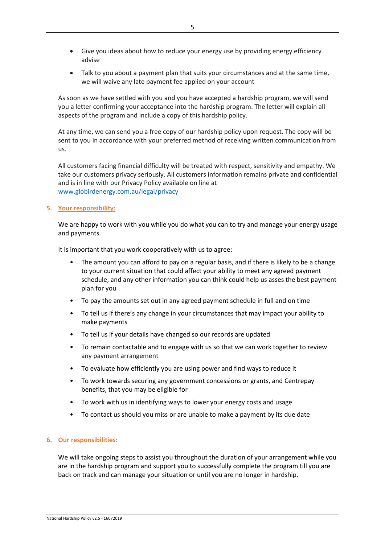- Give you ideas about how to reduce your energy use by providing energy efficiency advise
- Talk to you about a payment plan that suits your circumstances and at the same time, we will waive any late payment fee applied on your account

As soon as we have settled with you and you have accepted a hardship program, we will send you a letter confirming your acceptance into the hardship program. The letter will explain all aspects of the program and include a copy of this hardship policy.

At any time, we can send you a free copy of our hardship policy upon request. The copy will be sent to you in accordance with your preferred method of receiving written communication from us.

All customers facing financial difficulty will be treated with respect, sensitivity and empathy. We take our customers privacy seriously. All customers information remains private and confidential and is in line with our Privacy Policy available on line at [www.globirdenergy.com.au/legal/privacy](http://www.globirdenergy.com.au/legal/privacy)

# **5. Your responsibility:**

We are happy to work with you while you do what you can to try and manage your energy usage and payments.

It is important that you work cooperatively with us to agree:

- The amount you can afford to pay on a regular basis, and if there is likely to be a change to your current situation that could affect your ability to meet any agreed payment schedule, and any other information you can think could help us asses the best payment plan for you
- To pay the amounts set out in any agreed payment schedule in full and on time
- To tell us if there's any change in your circumstances that may impact your ability to make payments
- To tell us if your details have changed so our records are updated
- To remain contactable and to engage with us so that we can work together to review any payment arrangement
- To evaluate how efficiently you are using power and find ways to reduce it
- To work towards securing any government concessions or grants, and Centrepay benefits, that you may be eligible for
- To work with us in identifying ways to lower your energy costs and usage
- To contact us should you miss or are unable to make a payment by its due date

# **6. Our responsibilities:**

We will take ongoing steps to assist you throughout the duration of your arrangement while you are in the hardship program and support you to successfully complete the program till you are back on track and can manage your situation or until you are no longer in hardship.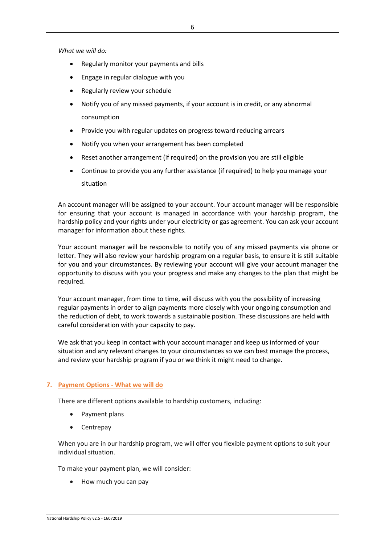*What we will do:*

- Regularly monitor your payments and bills
- Engage in regular dialogue with you
- Regularly review your schedule
- Notify you of any missed payments, if your account is in credit, or any abnormal consumption
- Provide you with regular updates on progress toward reducing arrears
- Notify you when your arrangement has been completed
- Reset another arrangement (if required) on the provision you are still eligible
- Continue to provide you any further assistance (if required) to help you manage your situation

An account manager will be assigned to your account. Your account manager will be responsible for ensuring that your account is managed in accordance with your hardship program, the hardship policy and your rights under your electricity or gas agreement. You can ask your account manager for information about these rights.

Your account manager will be responsible to notify you of any missed payments via phone or letter. They will also review your hardship program on a regular basis, to ensure it is still suitable for you and your circumstances. By reviewing your account will give your account manager the opportunity to discuss with you your progress and make any changes to the plan that might be required.

Your account manager, from time to time, will discuss with you the possibility of increasing regular payments in order to align payments more closely with your ongoing consumption and the reduction of debt, to work towards a sustainable position. These discussions are held with careful consideration with your capacity to pay.

We ask that you keep in contact with your account manager and keep us informed of your situation and any relevant changes to your circumstances so we can best manage the process, and review your hardship program if you or we think it might need to change.

# **7. Payment Options - What we will do**

There are different options available to hardship customers, including:

- Payment plans
- Centrepay

When you are in our hardship program, we will offer you flexible payment options to suit your individual situation.

To make your payment plan, we will consider:

• How much you can pay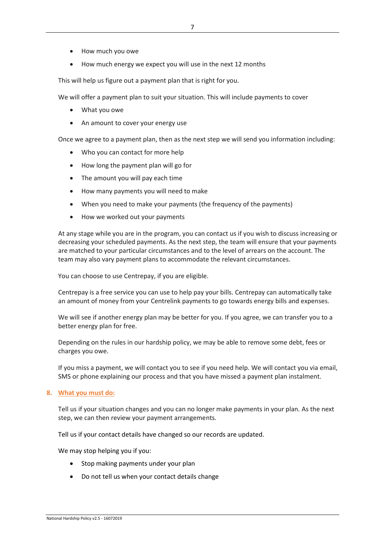- How much you owe
- How much energy we expect you will use in the next 12 months

This will help us figure out a payment plan that is right for you.

We will offer a payment plan to suit your situation. This will include payments to cover

- What you owe
- An amount to cover your energy use

Once we agree to a payment plan, then as the next step we will send you information including:

- Who you can contact for more help
- How long the payment plan will go for
- The amount you will pay each time
- How many payments you will need to make
- When you need to make your payments (the frequency of the payments)
- How we worked out your payments

At any stage while you are in the program, you can contact us if you wish to discuss increasing or decreasing your scheduled payments. As the next step, the team will ensure that your payments are matched to your particular circumstances and to the level of arrears on the account. The team may also vary payment plans to accommodate the relevant circumstances.

You can choose to use Centrepay, if you are eligible.

Centrepay is a free service you can use to help pay your bills. Centrepay can automatically take an amount of money from your Centrelink payments to go towards energy bills and expenses.

We will see if another energy plan may be better for you. If you agree, we can transfer you to a better energy plan for free.

Depending on the rules in our hardship policy, we may be able to remove some debt, fees or charges you owe.

If you miss a payment, we will contact you to see if you need help. We will contact you via email, SMS or phone explaining our process and that you have missed a payment plan instalment.

#### **8. What you must do:**

Tell us if your situation changes and you can no longer make payments in your plan. As the next step, we can then review your payment arrangements.

Tell us if your contact details have changed so our records are updated.

We may stop helping you if you:

- Stop making payments under your plan
- Do not tell us when your contact details change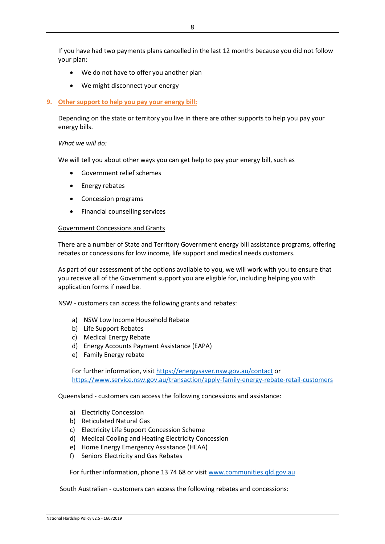If you have had two payments plans cancelled in the last 12 months because you did not follow your plan:

- We do not have to offer you another plan
- We might disconnect your energy

## **9. Other support to help you pay your energy bill:**

Depending on the state or territory you live in there are other supports to help you pay your energy bills.

## *What we will do:*

We will tell you about other ways you can get help to pay your energy bill, such as

- Government relief schemes
- Energy rebates
- Concession programs
- Financial counselling services

## Government Concessions and Grants

There are a number of State and Territory Government energy bill assistance programs, offering rebates or concessions for low income, life support and medical needs customers.

As part of our assessment of the options available to you, we will work with you to ensure that you receive all of the Government support you are eligible for, including helping you with application forms if need be.

NSW - customers can access the following grants and rebates:

- a) NSW Low Income Household Rebate
- b) Life Support Rebates
- c) Medical Energy Rebate
- d) Energy Accounts Payment Assistance (EAPA)
- e) Family Energy rebate

For further information, visi[t https://energysaver.nsw.gov.au/contact](https://energysaver.nsw.gov.au/contact) or <https://www.service.nsw.gov.au/transaction/apply-family-energy-rebate-retail-customers>

Queensland - customers can access the following concessions and assistance:

- a) Electricity Concession
- b) Reticulated Natural Gas
- c) Electricity Life Support Concession Scheme
- d) Medical Cooling and Heating Electricity Concession
- e) Home Energy Emergency Assistance (HEAA)
- f) Seniors Electricity and Gas Rebates

For further information, phone 13 74 68 or visit [www.communities.qld.gov.au](http://www.communities.qld.gov.au/)

South Australian - customers can access the following rebates and concessions: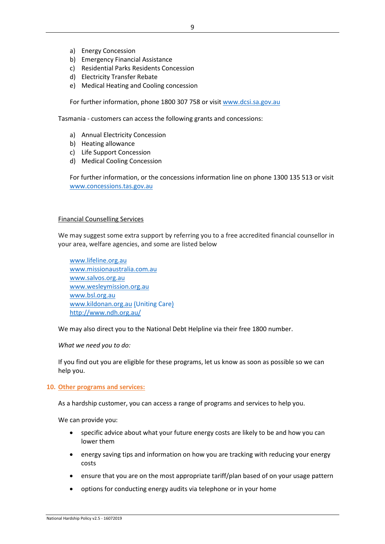- a) Energy Concession
- b) Emergency Financial Assistance
- c) Residential Parks Residents Concession
- d) Electricity Transfer Rebate
- e) Medical Heating and Cooling concession

For further information, phone 1800 307 758 or visi[t www.dcsi.sa.gov.au](http://www.dcsi.sa.gov.au/)

Tasmania - customers can access the following grants and concessions:

- a) Annual Electricity Concession
- b) Heating allowance
- c) Life Support Concession
- d) Medical Cooling Concession

For further information, or the concessions information line on phone 1300 135 513 or visit [www.concessions.tas.gov.au](http://www.concessions.tas.gov.au/)

#### Financial Counselling Services

We may suggest some extra support by referring you to a free accredited financial counsellor in your area, welfare agencies, and some are listed below

[www.lifeline.org.au](http://www.lifeline.org.au/) [www.missionaustralia.com.au](http://www.mission.com.au/) [www.salvos.org.au](http://www.salvos.org.au/) [www.wesleymission.org.au](http://www.wesleymission.org.au/) [www.bsl.org.au](http://www.bsl.org.au/) [www.kildonan.org.au](http://www.kildonan.org.au/) (Uniting Care) http://www.ndh.org.au/

We may also direct you to the National Debt Helpline via their free 1800 number.

*What we need you to do:*

If you find out you are eligible for these programs, let us know as soon as possible so we can help you.

#### **10. Other programs and services:**

As a hardship customer, you can access a range of programs and services to help you.

We can provide you:

- specific advice about what your future energy costs are likely to be and how you can lower them
- energy saving tips and information on how you are tracking with reducing your energy costs
- ensure that you are on the most appropriate tariff/plan based of on your usage pattern
- options for conducting energy audits via telephone or in your home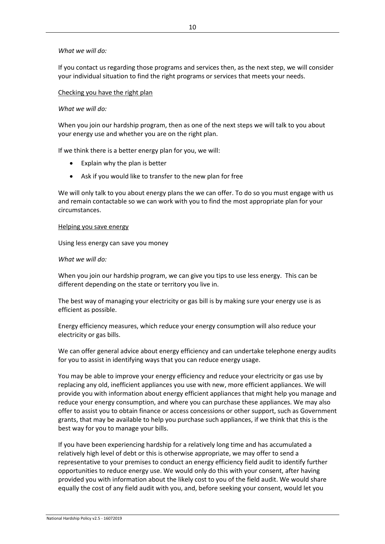## *What we will do:*

If you contact us regarding those programs and services then, as the next step, we will consider your individual situation to find the right programs or services that meets your needs.

## Checking you have the right plan

## *What we will do:*

When you join our hardship program, then as one of the next steps we will talk to you about your energy use and whether you are on the right plan.

If we think there is a better energy plan for you, we will:

- Explain why the plan is better
- Ask if you would like to transfer to the new plan for free

We will only talk to you about energy plans the we can offer. To do so you must engage with us and remain contactable so we can work with you to find the most appropriate plan for your circumstances.

#### Helping you save energy

Using less energy can save you money

#### *What we will do:*

When you join our hardship program, we can give you tips to use less energy. This can be different depending on the state or territory you live in.

The best way of managing your electricity or gas bill is by making sure your energy use is as efficient as possible.

Energy efficiency measures, which reduce your energy consumption will also reduce your electricity or gas bills.

We can offer general advice about energy efficiency and can undertake telephone energy audits for you to assist in identifying ways that you can reduce energy usage.

You may be able to improve your energy efficiency and reduce your electricity or gas use by replacing any old, inefficient appliances you use with new, more efficient appliances. We will provide you with information about energy efficient appliances that might help you manage and reduce your energy consumption, and where you can purchase these appliances. We may also offer to assist you to obtain finance or access concessions or other support, such as Government grants, that may be available to help you purchase such appliances, if we think that this is the best way for you to manage your bills.

If you have been experiencing hardship for a relatively long time and has accumulated a relatively high level of debt or this is otherwise appropriate, we may offer to send a representative to your premises to conduct an energy efficiency field audit to identify further opportunities to reduce energy use. We would only do this with your consent, after having provided you with information about the likely cost to you of the field audit. We would share equally the cost of any field audit with you, and, before seeking your consent, would let you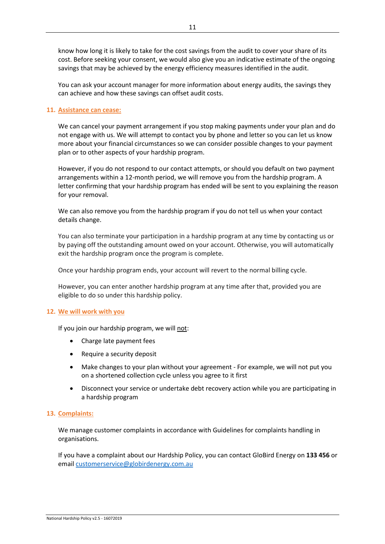know how long it is likely to take for the cost savings from the audit to cover your share of its cost. Before seeking your consent, we would also give you an indicative estimate of the ongoing savings that may be achieved by the energy efficiency measures identified in the audit.

You can ask your account manager for more information about energy audits, the savings they can achieve and how these savings can offset audit costs.

## **11. Assistance can cease:**

We can cancel your payment arrangement if you stop making payments under your plan and do not engage with us. We will attempt to contact you by phone and letter so you can let us know more about your financial circumstances so we can consider possible changes to your payment plan or to other aspects of your hardship program.

However, if you do not respond to our contact attempts, or should you default on two payment arrangements within a 12-month period, we will remove you from the hardship program. A letter confirming that your hardship program has ended will be sent to you explaining the reason for your removal.

We can also remove you from the hardship program if you do not tell us when your contact details change.

You can also terminate your participation in a hardship program at any time by contacting us or by paying off the outstanding amount owed on your account. Otherwise, you will automatically exit the hardship program once the program is complete.

Once your hardship program ends, your account will revert to the normal billing cycle.

However, you can enter another hardship program at any time after that, provided you are eligible to do so under this hardship policy.

#### **12. We will work with you**

If you join our hardship program, we will not:

- Charge late payment fees
- Require a security deposit
- Make changes to your plan without your agreement For example, we will not put you on a shortened collection cycle unless you agree to it first
- Disconnect your service or undertake debt recovery action while you are participating in a hardship program

#### **13. Complaints:**

We manage customer complaints in accordance with Guidelines for complaints handling in organisations.

If you have a complaint about our Hardship Policy, you can contact GloBird Energy on **133 456** or email [customerservice@globirdenergy.com.au](mailto:customerservice@globirdenergy.com.au)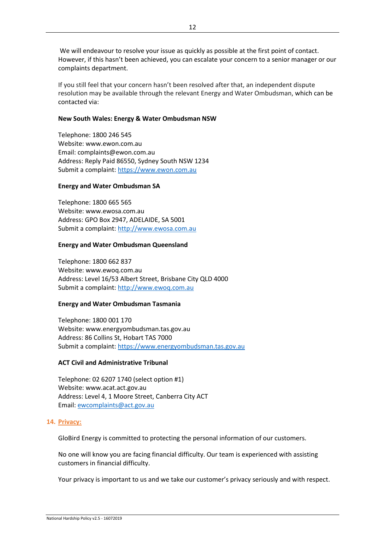We will endeavour to resolve your issue as quickly as possible at the first point of contact. However, if this hasn't been achieved, you can escalate your concern to a senior manager or our complaints department.

If you still feel that your concern hasn't been resolved after that, an independent dispute resolution may be available through the relevant Energy and Water Ombudsman, which can be contacted via:

# **New South Wales: Energy & Water Ombudsman NSW**

Telephone: 1800 246 545 Website: www.ewon.com.au Email: complaints@ewon.com.au Address: Reply Paid 86550, Sydney South NSW 1234 Submit a complaint: [https://www.ewon.com.au](https://www.ewon.com.au/page/making-a-complaint)

# **Energy and Water Ombudsman SA**

Telephone: 1800 665 565 Website: www.ewosa.com.au Address: GPO Box 2947, ADELAIDE, SA 5001 Submit a complaint: [http://www.ewosa.com.au](http://www.ewosa.com.au/index.php/about/submit-acomplaint)

# **Energy and Water Ombudsman Queensland**

Telephone: 1800 662 837 Website: www.ewoq.com.au Address: Level 16/53 Albert Street, Brisbane City QLD 4000 Submit a complaint: [http://www.ewoq.com.au](http://www.ewoq.com.au/submit-a-complaint)

# **Energy and Water Ombudsman Tasmania**

Telephone: 1800 001 170 Website: www.energyombudsman.tas.gov.au Address: 86 Collins St, Hobart TAS 7000 Submit a complaint: [https://www.energyombudsman.tas.gov.au](https://www.energyombudsman.tas.gov.au/enquiries-and-complaints)

# **ACT Civil and Administrative Tribunal**

Telephone: 02 6207 1740 (select option #1) Website: www.acat.act.gov.au Address: Level 4, 1 Moore Street, Canberra City ACT Email: [ewcomplaints@act.gov.au](mailto:ewcomplaints@act.gov.au)

# **14. Privacy:**

GloBird Energy is committed to protecting the personal information of our customers.

No one will know you are facing financial difficulty. Our team is experienced with assisting customers in financial difficulty.

Your privacy is important to us and we take our customer's privacy seriously and with respect.